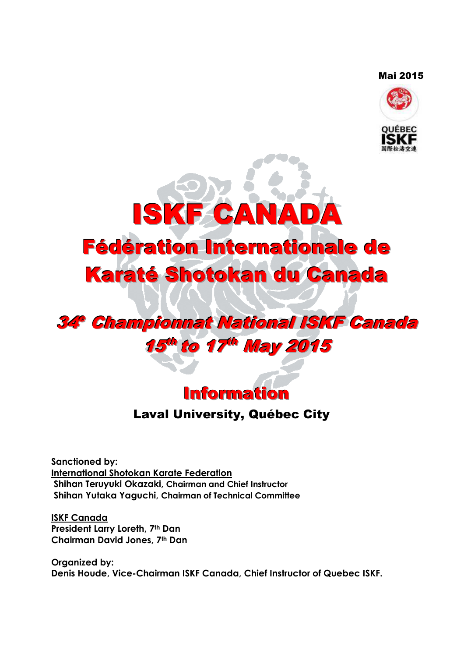#### Mai 2015





# 34° Championnat National ISKF Canada 15<sup>th</sup> to 17<sup>th</sup> May 2015



## Laval University, Québec City

**Sanctioned by: International Shotokan Karate Federation Shihan Teruyuki Okazaki, Chairman and Chief Instructor Shihan Yutaka Yaguchi, Chairman of Technical Committee**

**ISKF Canada President Larry Loreth, 7th Dan Chairman David Jones, 7th Dan** 

**Organized by: Denis Houde, Vice-Chairman ISKF Canada, Chief Instructor of Quebec ISKF.**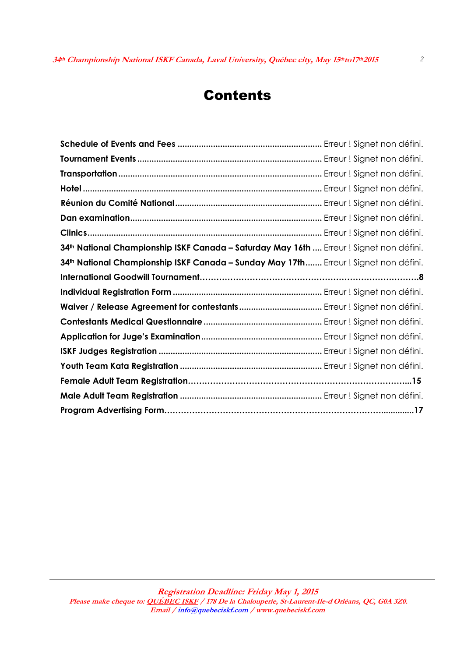## Contents

| 34th National Championship ISKF Canada - Saturday May 16th  Erreur ! Signet non défini. |  |
|-----------------------------------------------------------------------------------------|--|
| 34th National Championship ISKF Canada - Sunday May 17th Erreur ! Signet non défini.    |  |
|                                                                                         |  |
|                                                                                         |  |
|                                                                                         |  |
|                                                                                         |  |
|                                                                                         |  |
|                                                                                         |  |
|                                                                                         |  |
|                                                                                         |  |
|                                                                                         |  |
|                                                                                         |  |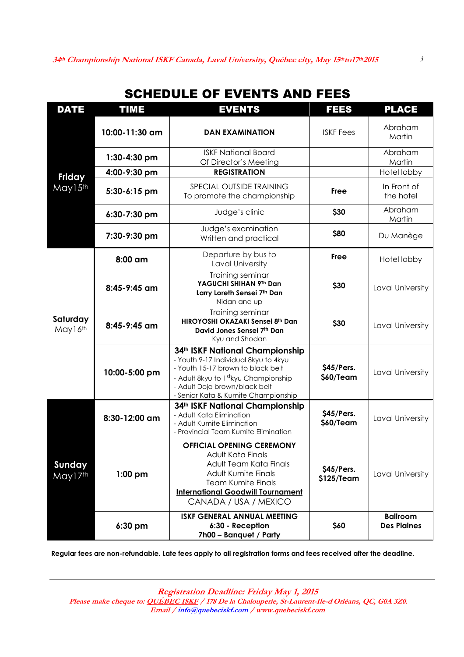## SCHEDULE OF EVENTS AND FEES

| <b>DATE</b>         | <b>EVENTS</b><br><b>TIME</b> |                                                                                                                                                                                                                             | <b>FEES</b>              | <b>PLACE</b>                          |
|---------------------|------------------------------|-----------------------------------------------------------------------------------------------------------------------------------------------------------------------------------------------------------------------------|--------------------------|---------------------------------------|
|                     | 10:00-11:30 am               | <b>DAN EXAMINATION</b>                                                                                                                                                                                                      | <b>ISKF Fees</b>         | Abraham<br>Martin                     |
|                     | 1:30-4:30 pm                 | <b>ISKF National Board</b><br>Of Director's Meeting                                                                                                                                                                         |                          | Abraham<br>Martin                     |
| <b>Friday</b>       | 4:00-9:30 pm                 | <b>REGISTRATION</b>                                                                                                                                                                                                         |                          | Hotel lobby                           |
| May15th             | 5:30-6:15 pm                 | SPECIAL OUTSIDE TRAINING<br>To promote the championship                                                                                                                                                                     | <b>Free</b>              | In Front of<br>the hotel              |
|                     | 6:30-7:30 pm                 | Judge's clinic                                                                                                                                                                                                              | \$30                     | Abraham<br>Martin                     |
|                     | 7:30-9:30 pm                 | Judge's examination<br>Written and practical                                                                                                                                                                                | \$80                     | Du Manège                             |
|                     | 8:00 am                      | Departure by bus to<br>Laval University                                                                                                                                                                                     | Free                     | Hotel lobby                           |
| Saturday<br>May16th | 8:45-9:45 am                 | Training seminar<br>YAGUCHI SHIHAN 9Th Dan<br>Larry Loreth Sensei 7th Dan<br>Nidan and up                                                                                                                                   | \$30                     | Laval University                      |
|                     | 8:45-9:45 am                 | Training seminar<br>HIROYOSHI OKAZAKI Sensei 8th Dan<br>David Jones Sensei 7th Dan<br>Kyu and Shodan                                                                                                                        | \$30                     | Laval University                      |
|                     | 10:00-5:00 pm                | 34th ISKF National Championship<br>- Youth 9-17 Individual 8kyu to 4kyu<br>- Youth 15-17 brown to black belt<br>- Adult 8kyu to 1stkyu Championship<br>- Adult Dojo brown/black belt<br>- Senior Kata & Kumite Championship | \$45/Pers.<br>\$60/Team  | Laval University                      |
| Sunday<br>May17th   | 8:30-12:00 am                | 34th ISKF National Championship<br>- Adult Kata Elimination<br>- Adult Kumite Elimination<br>- Provincial Team Kumite Elimination                                                                                           | \$45/Pers.<br>\$60/Team  | Laval University                      |
|                     | $1:00$ pm                    | <b>OFFICIAL OPENING CEREMONY</b><br>Adult Kata Finals<br>Adult Team Kata Finals<br><b>Adult Kumite Finals</b><br><b>Team Kumite Finals</b><br><b>International Goodwill Tournament</b><br>CANADA / USA / MEXICO             | \$45/Pers.<br>\$125/Team | Laval University                      |
|                     | 6:30 pm                      | <b>ISKF GENERAL ANNUAL MEETING</b><br>6:30 - Reception<br>7h00 - Banquet / Party                                                                                                                                            | \$60                     | <b>Ballroom</b><br><b>Des Plaines</b> |

**Regular fees are non-refundable. Late fees apply to all registration forms and fees received after the deadline.** 

**Registration Deadline: Friday May 1, 2015 Please make cheque to: QUÉBEC ISKF / 178 De la Chalouperie, St-Laurent-Ile-d**'**Orléans, QC, G0A 3Z0. Email / info@quebeciskf.com / www.quebeciskf.com**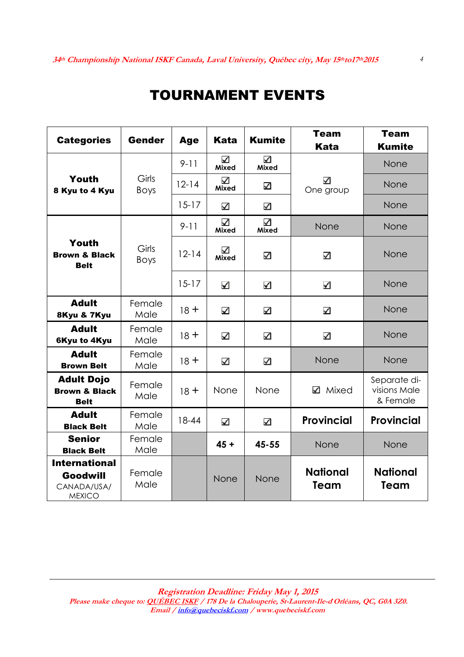## TOURNAMENT EVENTS

| <b>Categories</b>                                                | <b>Gender</b>        | <b>Age</b> | <b>Kata</b>             | <b>Kumite</b> | <b>Team</b><br><b>Kata</b> | <b>Team</b><br><b>Kumite</b>             |
|------------------------------------------------------------------|----------------------|------------|-------------------------|---------------|----------------------------|------------------------------------------|
|                                                                  |                      | $9 - 11$   | ☑<br>Mixed              | ☑<br>Mixed    |                            | None                                     |
| Youth<br>8 Kyu to 4 Kyu                                          | Girls<br><b>Boys</b> | $12 - 14$  | ☑<br>Mixed              | ☑             | А<br>One group             | None                                     |
|                                                                  |                      | $15 - 17$  | ☑                       | ☑             |                            | None                                     |
|                                                                  |                      | $9 - 11$   | V<br><b>Mixed</b>       | V<br>Mixed    | None                       | None                                     |
| Youth<br><b>Brown &amp; Black</b><br><b>Belt</b>                 | Girls<br><b>Boys</b> | $12 - 14$  | ☑<br>Mixed              | ☑             | ☑                          | None                                     |
|                                                                  |                      | $15 - 17$  | ☑                       | ⊻             | N                          | None                                     |
| <b>Adult</b><br>8Kyu & 7Kyu                                      | Female<br>Male       | $18 +$     | ☑                       | ☑             | ☑                          | None                                     |
| <b>Adult</b><br><b>6Kyu to 4Kyu</b>                              | Female<br>Male       | $18 +$     | ☑                       | ⊻             | ☑                          | None                                     |
| <b>Adult</b><br><b>Brown Belt</b>                                | Female<br>Male       | $18 +$     | ☑                       | ☑             | None                       | None                                     |
| <b>Adult Dojo</b><br><b>Brown &amp; Black</b><br><b>Belt</b>     | Female<br>Male       | $18 +$     | None                    | None          | Mixed<br>☑                 | Separate di-<br>visions Male<br>& Female |
| <b>Adult</b><br><b>Black Belt</b>                                | Female<br>Male       | $18 - 44$  | $\overline{\mathbf{v}}$ | $\Delta$      | <b>Provincial</b>          | <b>Provincial</b>                        |
| <b>Senior</b><br><b>Black Belt</b>                               | Female<br>Male       |            | $45 +$                  | 45-55         | None                       | None                                     |
| <b>International</b><br>Goodwill<br>CANADA/USA/<br><b>MEXICO</b> | Female<br>Male       |            | None                    | None          | <b>National</b><br>Team    | <b>National</b><br>Team                  |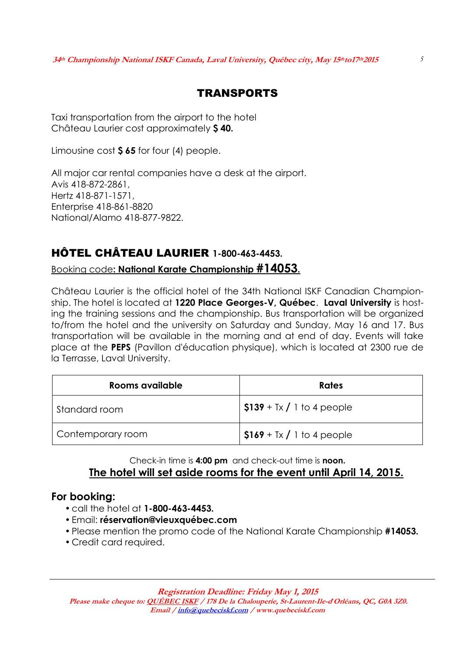### TRANSPORTS

Taxi transportation from the airport to the hotel Château Laurier cost approximately **\$ 40.**

Limousine cost **\$ 65** for four (4) people.

All major car rental companies have a desk at the airport. Avis 418-872-2861, Hertz 418-871-1571, Enterprise 418-861-8820 National/Alamo 418-877-9822.

### HÔTEL CHÂTEAU LAURIER **1-800-463-4453.**

Booking code**: National Karate Championship #14053.**

Château Laurier is the official hotel of the 34th National ISKF Canadian Championship. The hotel is located at **1220 Place Georges-V, Québec**. **Laval University** is hosting the training sessions and the championship. Bus transportation will be organized to/from the hotel and the university on Saturday and Sunday, May 16 and 17. Bus transportation will be available in the morning and at end of day. Events will take place at the **PEPS** (Pavillon d'éducation physique), which is located at 2300 rue de la Terrasse, Laval University.

| Rooms available   | Rates                       |
|-------------------|-----------------------------|
| Standard room     | $$139 + Tx / 1$ to 4 people |
| Contemporary room | $$169 + Tx / 1$ to 4 people |

### Check-in time is **4:00 pm** and check-out time is **noon. The hotel will set aside rooms for the event until April 14, 2015.**

### **For booking:**

- call the hotel at **1-800-463-4453.**
- Email: **réservation@vieuxquébec.com**
- Please mention the promo code of the National Karate Championship **#14053.**
- Credit card required.

**Registration Deadline: Friday May 1, 2015**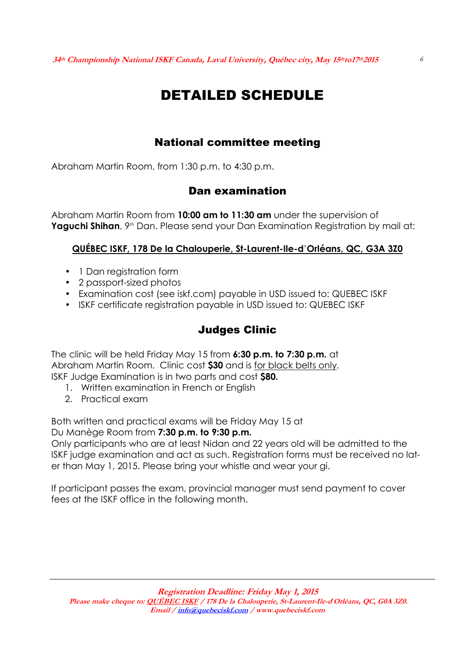# DETAILED SCHEDULE

### National committee meeting

Abraham Martin Room, from 1:30 p.m. to 4:30 p.m.

### Dan examination

Abraham Martin Room from **10:00 am to 11:30 am** under the supervision of **Yaguchi Shihan**, 9<sup>th</sup> Dan. Please send your Dan Examination Registration by mail at:

### **QUÉBEC ISKF, 178 De la Chalouperie, St-Laurent-Ile-d**'**Orléans, QC, G3A 3Z0**

- 1 Dan registration form
- 2 passport-sized photos
- Examination cost (see iskf.com) payable in USD issued to: QUEBEC ISKF
- ISKF certificate registration payable in USD issued to: QUEBEC ISKF

### Judges Clinic

The clinic will be held Friday May 15 from **6:30 p.m. to 7:30 p.m.** at Abraham Martin Room. Clinic cost **\$30** and is for black belts only. ISKF Judge Examination is in two parts and cost **\$80.**

- 1. Written examination in French or English
- 2. Practical exam

Both written and practical exams will be Friday May 15 at

Du Manège Room from **7:30 p.m. to 9:30 p.m.**

Only participants who are at least Nidan and 22 years old will be admitted to the ISKF judge examination and act as such. Registration forms must be received no later than May 1, 2015. Please bring your whistle and wear your gi.

If participant passes the exam, provincial manager must send payment to cover fees at the ISKF office in the following month.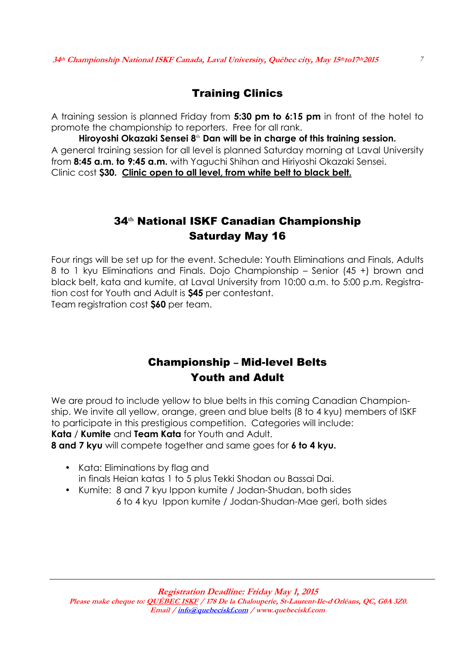### Training Clinics

A training session is planned Friday from **5:30 pm to 6:15 pm** in front of the hotel to promote the championship to reporters. Free for all rank.

**Hiroyoshi Okazaki Sensei 8**th **Dan will be in charge of this training session.**  A general training session for all level is planned Saturday morning at Laval University from **8:45 a.m. to 9:45 a.m.** with Yaguchi Shihan and Hiriyoshi Okazaki Sensei. Clinic cost **\$30. Clinic open to all level, from white belt to black belt.** 

### 34**th** National ISKF Canadian Championship Saturday May 16

Four rings will be set up for the event. Schedule: Youth Eliminations and Finals, Adults 8 to 1 kyu Eliminations and Finals. Dojo Championship – Senior (45 +) brown and black belt, kata and kumite, at Laval University from 10:00 a.m. to 5:00 p.m. Registration cost for Youth and Adult is **\$45** per contestant.

Team registration cost **\$60** per team.

### Championship – Mid-level Belts Youth and Adult

We are proud to include yellow to blue belts in this coming Canadian Championship. We invite all yellow, orange, green and blue belts (8 to 4 kyu) members of ISKF to participate in this prestigious competition. Categories will include: **Kata** / **Kumite** and **Team Kata** for Youth and Adult.

**8 and 7 kyu** will compete together and same goes for **6 to 4 kyu.**

- Kata: Eliminations by flag and in finals Heian katas 1 to 5 plus Tekki Shodan ou Bassai Dai.
- Kumite: 8 and 7 kyu Ippon kumite / Jodan-Shudan, both sides 6 to 4 kyu Ippon kumite / Jodan-Shudan-Mae geri, both sides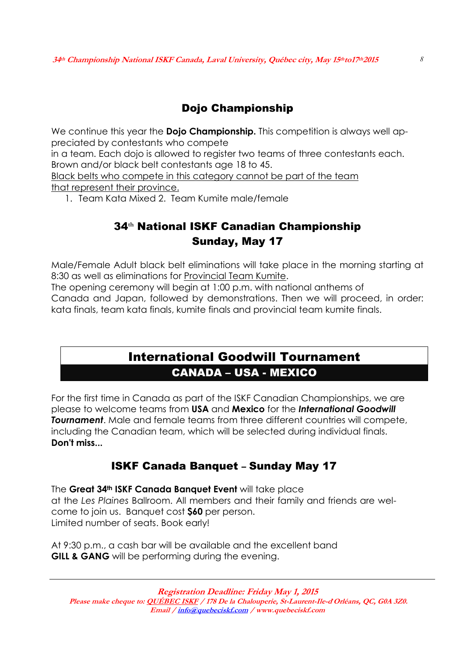### Dojo Championship

We continue this year the **Dojo Championship.** This competition is always well appreciated by contestants who compete

in a team. Each dojo is allowed to register two teams of three contestants each. Brown and/or black belt contestants age 18 to 45.

Black belts who compete in this category cannot be part of the team that represent their province.

1. Team Kata Mixed 2. Team Kumite male/female

### 34**th** National ISKF Canadian Championship Sunday, May 17

Male/Female Adult black belt eliminations will take place in the morning starting at 8:30 as well as eliminations for Provincial Team Kumite.

The opening ceremony will begin at 1:00 p.m. with national anthems of Canada and Japan, followed by demonstrations. Then we will proceed, in order: kata finals, team kata finals, kumite finals and provincial team kumite finals.

## International Goodwill Tournament CANADA – USA - MEXICO

For the first time in Canada as part of the ISKF Canadian Championships, we are please to welcome teams from **USA** and **Mexico** for the *International Goodwill Tournament*. Male and female teams from three different countries will compete, including the Canadian team, which will be selected during individual finals. **Don't miss...**

### ISKF Canada Banquet – Sunday May 17

The **Great 34th ISKF Canada Banquet Event** will take place at the *Les Plaines* Ballroom. All members and their family and friends are welcome to join us. Banquet cost **\$60** per person. Limited number of seats. Book early!

At 9:30 p.m., a cash bar will be available and the excellent band **GILL & GANG** will be performing during the evening.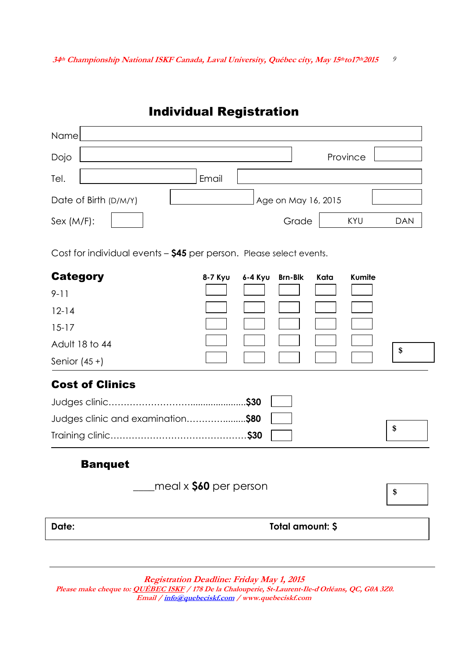## Individual Registration

| Name                  |       |                     |          |            |
|-----------------------|-------|---------------------|----------|------------|
| Dojo                  |       |                     | Province |            |
| Tel.                  | Email |                     |          |            |
| Date of Birth (D/M/Y) |       | Age on May 16, 2015 |          |            |
| Sex (M/F):            |       | Grade               | KYU      | <b>DAN</b> |

Cost for individual events – **\$45** per person. Please select events.

| <b>Category</b>               | 8-7 Kyu                       | 6-4 Kyu Brn-Blk |                  | Kata | Kumite |    |
|-------------------------------|-------------------------------|-----------------|------------------|------|--------|----|
| $9 - 11$                      |                               |                 |                  |      |        |    |
| $12 - 14$                     |                               |                 |                  |      |        |    |
| $15 - 17$                     |                               |                 |                  |      |        |    |
| Adult 18 to 44                |                               |                 |                  |      |        | \$ |
| Senior $(45 +)$               |                               |                 |                  |      |        |    |
| <b>Cost of Clinics</b>        |                               |                 |                  |      |        |    |
|                               |                               | .\$30           |                  |      |        |    |
| Judges clinic and examination |                               | .\$80           |                  |      |        |    |
|                               |                               |                 |                  |      |        | \$ |
| <b>Banquet</b>                |                               |                 |                  |      |        |    |
|                               | meal $\times$ \$60 per person |                 |                  |      |        | \$ |
| Date:                         |                               |                 | Total amount: \$ |      |        |    |

**Registration Deadline: Friday May 1, 2015**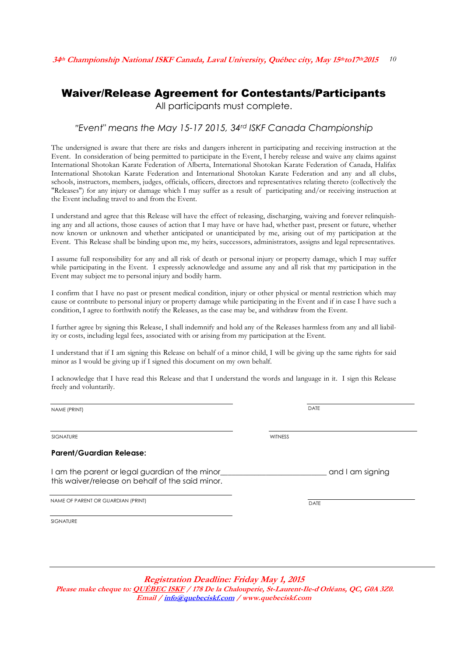### Waiver/Release Agreement for Contestants/Participants

All participants must complete.

#### *"Event" means the May 15-17 2015, 34rd ISKF Canada Championship*

The undersigned is aware that there are risks and dangers inherent in participating and receiving instruction at the Event. In consideration of being permitted to participate in the Event, I hereby release and waive any claims against International Shotokan Karate Federation of Alberta, International Shotokan Karate Federation of Canada, Halifax International Shotokan Karate Federation and International Shotokan Karate Federation and any and all clubs, schools, instructors, members, judges, officials, officers, directors and representatives relating thereto (collectively the "Releases") for any injury or damage which I may suffer as a result of participating and/or receiving instruction at the Event including travel to and from the Event.

I understand and agree that this Release will have the effect of releasing, discharging, waiving and forever relinquishing any and all actions, those causes of action that I may have or have had, whether past, present or future, whether now known or unknown and whether anticipated or unanticipated by me, arising out of my participation at the Event. This Release shall be binding upon me, my heirs, successors, administrators, assigns and legal representatives.

I assume full responsibility for any and all risk of death or personal injury or property damage, which I may suffer while participating in the Event. I expressly acknowledge and assume any and all risk that my participation in the Event may subject me to personal injury and bodily harm.

I confirm that I have no past or present medical condition, injury or other physical or mental restriction which may cause or contribute to personal injury or property damage while participating in the Event and if in case I have such a condition, I agree to forthwith notify the Releases, as the case may be, and withdraw from the Event.

I further agree by signing this Release, I shall indemnify and hold any of the Releases harmless from any and all liability or costs, including legal fees, associated with or arising from my participation at the Event.

I understand that if I am signing this Release on behalf of a minor child, I will be giving up the same rights for said minor as I would be giving up if I signed this document on my own behalf.

I acknowledge that I have read this Release and that I understand the words and language in it. I sign this Release freely and voluntarily.

NAME (PRINT) DATE

SIGNATURE WITNESS AND A SERVICE OF THE SIGNATURE WITNESS AND A SERVICE OF THE SIGNATURE OF THE SIGNATURE OF TH

#### **Parent/Guardian Release:**

I am the parent or legal guardian of the minor\_\_\_\_\_\_\_\_\_\_\_\_\_\_\_\_\_\_\_\_\_\_\_\_\_\_\_\_\_\_\_\_\_\_ and I am signing this waiver/release on behalf of the said minor.

NAME OF PARENT OR GUARDIAN (PRINT)

SIGNATURE

**Registration Deadline: Friday May 1, 2015 Please make cheque to: QUÉBEC ISKF / 178 De la Chalouperie, St-Laurent-Ile-d**'**Orléans, QC, G0A 3Z0. Email / info@quebeciskf.com / www.quebeciskf.com**

**DATE**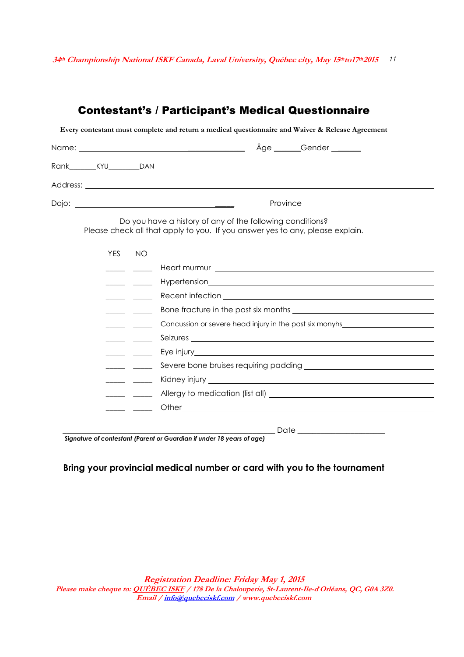### Contestant's / Participant's Medical Questionnaire

**Every contestant must complete and return a medical questionnaire and Waiver & Release Agreement** 

| Rank_________KYU___________DAN |            |                                                       |                                                                                                                                            |
|--------------------------------|------------|-------------------------------------------------------|--------------------------------------------------------------------------------------------------------------------------------------------|
|                                |            |                                                       |                                                                                                                                            |
|                                |            |                                                       |                                                                                                                                            |
|                                |            |                                                       | Do you have a history of any of the following conditions?<br>Please check all that apply to you. If you answer yes to any, please explain. |
|                                | <b>YES</b> | NO                                                    |                                                                                                                                            |
|                                |            |                                                       |                                                                                                                                            |
|                                |            |                                                       |                                                                                                                                            |
|                                |            |                                                       |                                                                                                                                            |
|                                |            |                                                       |                                                                                                                                            |
|                                |            |                                                       | Concussion or severe head injury in the past six monyhs_________________________                                                           |
|                                |            |                                                       |                                                                                                                                            |
|                                |            | $\overline{\phantom{a}}$ and $\overline{\phantom{a}}$ |                                                                                                                                            |
|                                |            | $\overline{\phantom{a}}$ and $\overline{\phantom{a}}$ |                                                                                                                                            |
|                                |            | $\overline{\phantom{a}}$                              |                                                                                                                                            |
|                                |            | $\overline{\phantom{a}}$ and $\overline{\phantom{a}}$ |                                                                                                                                            |
|                                |            |                                                       |                                                                                                                                            |
|                                |            |                                                       |                                                                                                                                            |
|                                |            |                                                       | Signature of contestant (Parent or Guardian if under 18 years of age)                                                                      |

#### *Signature of contestant (Parent or Guardian if under 18 years of age)*

#### **Bring your provincial medical number or card with you to the tournament**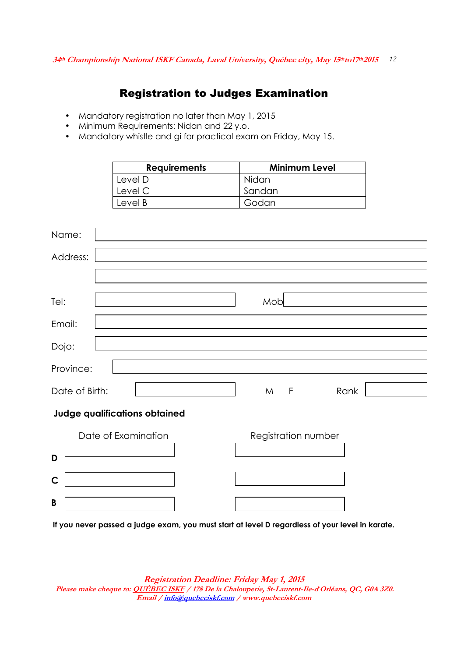### Registration to Judges Examination

- Mandatory registration no later than May 1, 2015
- Minimum Requirements: Nidan and 22 y.o.
- Mandatory whistle and gi for practical exam on Friday, May 15.

|           | <b>Requirements</b> | <b>Minimum Level</b> |
|-----------|---------------------|----------------------|
|           | Level D             | Nidan                |
|           | Level C             | Sandan               |
|           | Level B             | Godan                |
|           |                     |                      |
| Name:     |                     |                      |
| Address:  |                     |                      |
|           |                     |                      |
|           |                     |                      |
| Tel:      |                     | Mob                  |
| Email:    |                     |                      |
| Dojo:     |                     |                      |
|           |                     |                      |
| Province: |                     |                      |

### **Judge qualifications obtained**

|   | Date of Examination | Registration number |
|---|---------------------|---------------------|
| D |                     |                     |
|   |                     |                     |
| B |                     |                     |

Date of Birth: Sex Manual Late of Birth: Sex Manual Late of Birth: Sex Manual Late Manual Manual Manual Manual M

**If you never passed a judge exam, you must start at level D regardless of your level in karate.**

**Registration Deadline: Friday May 1, 2015**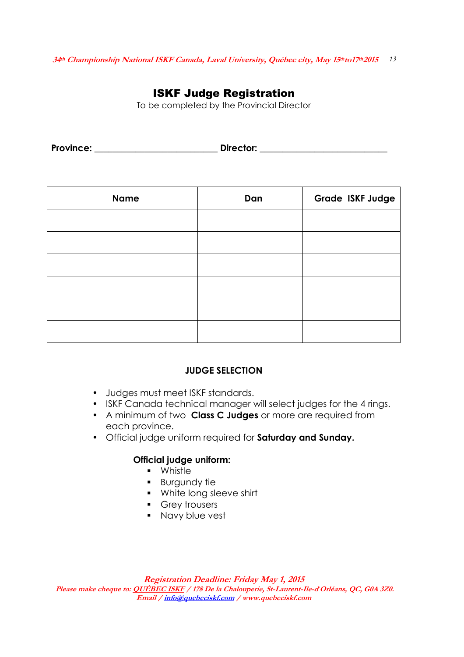### ISKF Judge Registration

To be completed by the Provincial Director

Province: **Example 2018** Director: **Director: Director: Director: Director: Director: Province: Province: Province: Province: Province: Province: Province: Province: Province: Province: Provin** 

| <b>Name</b> | Dan | Grade ISKF Judge |
|-------------|-----|------------------|
|             |     |                  |
|             |     |                  |
|             |     |                  |
|             |     |                  |
|             |     |                  |
|             |     |                  |

### **JUDGE SELECTION**

- Judges must meet ISKF standards.
- ISKF Canada technical manager will select judges for the 4 rings.
- A minimum of two **Class C Judges** or more are required from each province.
- Official judge uniform required for **Saturday and Sunday.**

#### **Official judge uniform:**

- **•** Whistle
- **Burgundy fie**
- **White long sleeve shirt**
- **Grey trousers**
- **Navy blue vest**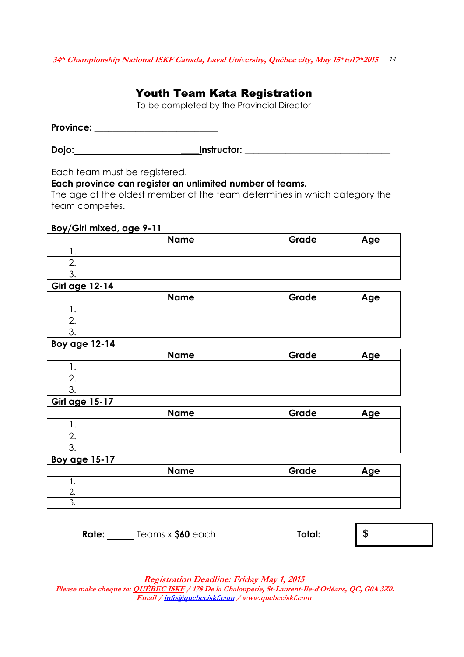### Youth Team Kata Registration

To be completed by the Provincial Director

**Province: \_\_\_\_\_\_\_\_\_\_\_\_\_\_\_\_\_\_\_\_\_\_\_\_\_\_\_** 

**Dojo: Constructor: Constructor: Constructor: Construction: Construction:** 

Each team must be registered.

#### **Each province can register an unlimited number of teams.**

The age of the oldest member of the team determines in which category the team competes.

#### **Boy/Girl mixed, age 9-11**

| <b>Name</b> | Grade | Age |
|-------------|-------|-----|
|             |       |     |
|             |       |     |
|             |       |     |

#### **Girl age 12-14**

|          | <b>Name</b> | Grade | Age |
|----------|-------------|-------|-----|
|          |             |       |     |
| <u>.</u> |             |       |     |
|          |             |       |     |

#### **Boy age 12-14**

|    | <b>Name</b> | Grade | Age |
|----|-------------|-------|-----|
|    |             |       |     |
|    |             |       |     |
| ັ. |             |       |     |

#### **Girl age 15-17**

|          | <b>Name</b> | Grade | Age |
|----------|-------------|-------|-----|
|          |             |       |     |
| <u>.</u> |             |       |     |
| ັ.       |             |       |     |

#### **Boy age 15-17**

| <b>Name</b> | Grade | Age |
|-------------|-------|-----|
|             |       |     |
|             |       |     |
|             |       |     |

 **Rate:** Teams x **\$60** each **Total: \$**

**Registration Deadline: Friday May 1, 2015**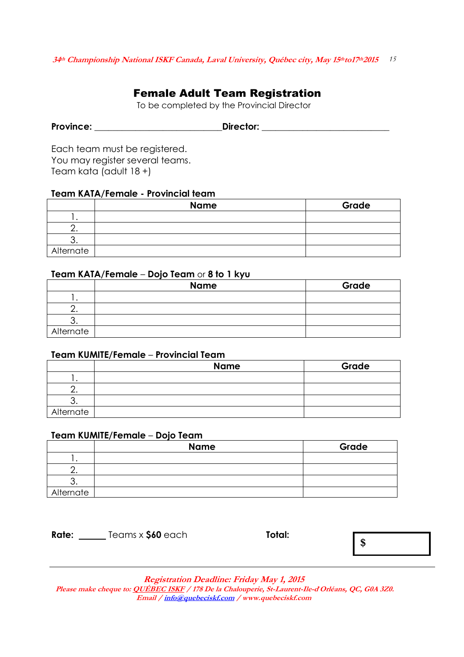### Female Adult Team Registration

To be completed by the Provincial Director

| <b>Province:</b> | Director: |
|------------------|-----------|
|                  |           |

Each team must be registered. You may register several teams. Team kata (adult 18 +)

#### **Team KATA/Female - Provincial team**

|           | <b>Name</b> | Grade |
|-----------|-------------|-------|
|           |             |       |
|           |             |       |
|           |             |       |
| Alternate |             |       |

#### **Team KATA/Female** – **Dojo Team** or **8 to 1 kyu**

|           | <b>Name</b> | Grade |
|-----------|-------------|-------|
|           |             |       |
|           |             |       |
|           |             |       |
| Alternate |             |       |

#### **Team KUMITE/Female** – **Provincial Team**

|           | <b>Name</b> | Grade |
|-----------|-------------|-------|
|           |             |       |
|           |             |       |
|           |             |       |
| Alternate |             |       |

#### **Team KUMITE/Female** – **Dojo Team**

|           | <b>Name</b> | Grade |
|-----------|-------------|-------|
|           |             |       |
|           |             |       |
|           |             |       |
| Alternate |             |       |

| <b>Rate:</b> | Teams x \$60 each | Total: |
|--------------|-------------------|--------|
|--------------|-------------------|--------|

**\$**

**Registration Deadline: Friday May 1, 2015**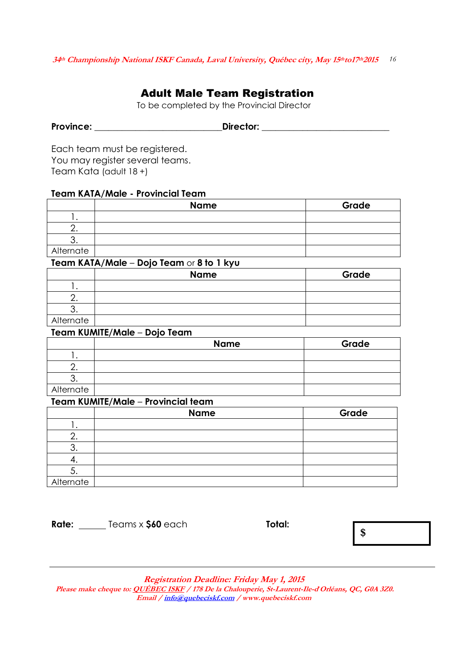### Adult Male Team Registration

To be completed by the Provincial Director

| <b>Province:</b> | Director: |
|------------------|-----------|
|                  |           |

Each team must be registered. You may register several teams. Team Kata (adult 18 +)

#### **Team KATA/Male - Provincial Team**

|           | <b>Name</b> | Grade |
|-----------|-------------|-------|
|           |             |       |
|           |             |       |
|           |             |       |
| Alternate |             |       |

#### **Team KATA/Male** – **Dojo Team** or **8 to 1 kyu**

|           | <b>Name</b> | Grade |
|-----------|-------------|-------|
|           |             |       |
|           |             |       |
|           |             |       |
| Alternate |             |       |

#### **Team KUMITE/Male** – **Dojo Team**

|           | <b>Name</b> | Grade |
|-----------|-------------|-------|
|           |             |       |
|           |             |       |
|           |             |       |
| Alternate |             |       |

#### **Team KUMITE/Male** – **Provincial team**

|           | <b>Name</b> | Grade |
|-----------|-------------|-------|
|           |             |       |
|           |             |       |
| J.        |             |       |
|           |             |       |
| J.        |             |       |
| Alternate |             |       |

| <b>Rate:</b> | Teams x \$60 each | Total: | \$ |
|--------------|-------------------|--------|----|
|              |                   |        |    |

**Registration Deadline: Friday May 1, 2015**